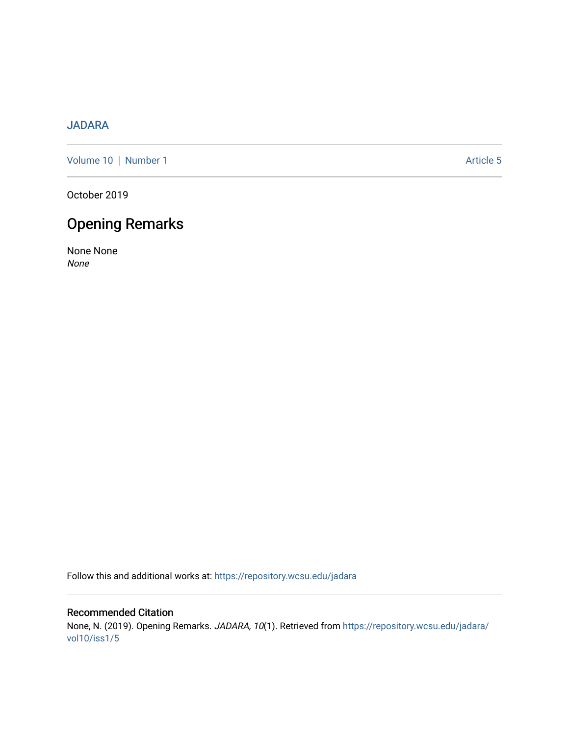### [JADARA](https://repository.wcsu.edu/jadara)

[Volume 10](https://repository.wcsu.edu/jadara/vol10) | [Number 1](https://repository.wcsu.edu/jadara/vol10/iss1) Article 5

October 2019

# Opening Remarks

None None None

Follow this and additional works at: [https://repository.wcsu.edu/jadara](https://repository.wcsu.edu/jadara?utm_source=repository.wcsu.edu%2Fjadara%2Fvol10%2Fiss1%2F5&utm_medium=PDF&utm_campaign=PDFCoverPages)

Recommended Citation None, N. (2019). Opening Remarks. JADARA, 10(1). Retrieved from [https://repository.wcsu.edu/jadara/](https://repository.wcsu.edu/jadara/vol10/iss1/5?utm_source=repository.wcsu.edu%2Fjadara%2Fvol10%2Fiss1%2F5&utm_medium=PDF&utm_campaign=PDFCoverPages) [vol10/iss1/5](https://repository.wcsu.edu/jadara/vol10/iss1/5?utm_source=repository.wcsu.edu%2Fjadara%2Fvol10%2Fiss1%2F5&utm_medium=PDF&utm_campaign=PDFCoverPages)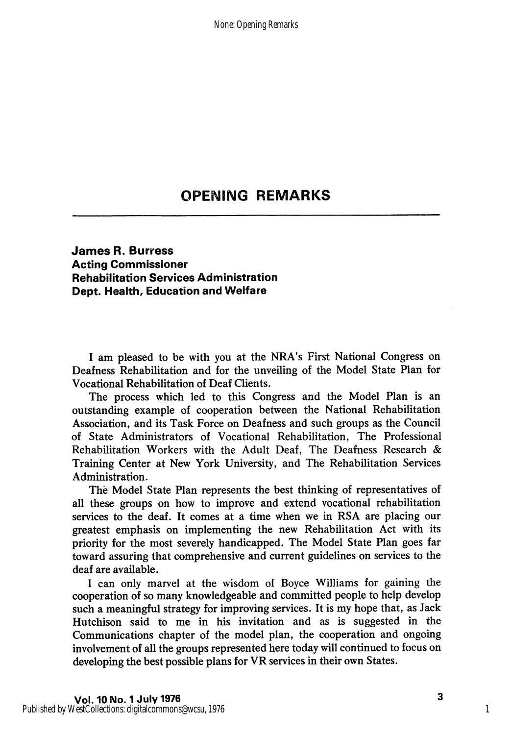## **OPENING REMARKS**

### James R. Burress Acting Commissioner Rehabilitation Services Administration Dept. Health, Education and Welfare

I am pleased to be with you at the NRA's First National Congress on Deafness Rehabilitation and for the unveiling of the Model State Plan for Vocational Rehabilitation of Deaf Clients.

The process which led to this Congress and the Model Plan is an outstanding example of cooperation between the National Rehabilitation Association, and its Task Force on Deafness and such groups as the Council of State Administrators of Vocational Rehabilitation, The Professional Rehabilitation Workers with the Adult Deaf, The Deafness Research & Training Center at New York University, and The Rehabilitation Services Administration.

The Model State Plan represents the best thinking of representatives of all these groups on how to improve and extend vocational rehabilitation services to the deaf. It comes at a time when we in RSA are placing our greatest emphasis on implementing the new Rehabilitation Act with its priority for the most severely handicapped. The Model State Plan goes far toward assuring that comprehensive and current guidelines on services to the deaf are available.

1 can only marvel at the wisdom of Boyce Williams for gaining the cooperation of so many knowledgeable and committed people to help develop such a meaningful strategy for improving services. It is my hope that, as Jack Hutchison said to me in his invitation and as is suggested in the Communications chapter of the model plan, the cooperation and ongoing involvement of all the groups represented here today will continued to focus on developing the best possible plans for VR services in their own States.

1